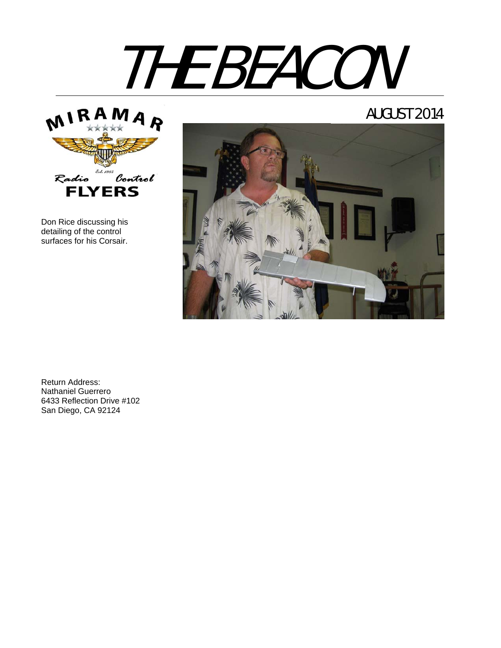# THE BEACON



Don Rice discussing his detailing of the control surfaces for his Corsair.

## AUGUST 2014



Return Address: Nathaniel Guerrero 6433 Reflection Drive #102 San Diego, CA 92124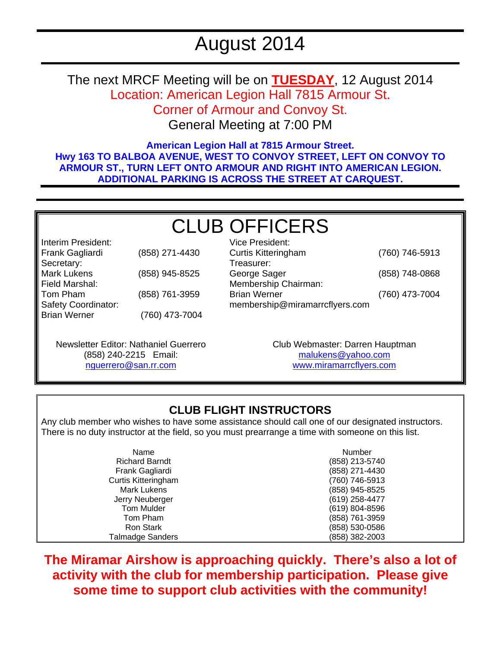## August 2014

The next MRCF Meeting will be on **TUESDAY**, 12 August 2014 Location: American Legion Hall 7815 Armour St. Corner of Armour and Convoy St.

General Meeting at 7:00 PM

**American Legion Hall at 7815 Armour Street. Hwy 163 TO BALBOA AVENUE, WEST TO CONVOY STREET, LEFT ON CONVOY TO ARMOUR ST., TURN LEFT ONTO ARMOUR AND RIGHT INTO AMERICAN LEGION. ADDITIONAL PARKING IS ACROSS THE STREET AT CARQUEST.** 

## CLUB OFFICERS Vice President:

Interim President: Frank Gagliardi (858) 271-4430 Secretary: Mark Lukens (858) 945-8525 Field Marshal: Tom Pham (858) 761-3959 Safety Coordinator: Brian Werner (760) 473-7004

Curtis Kitteringham (760) 746-5913 Treasurer: George Sager (858) 748-0868 Membership Chairman: Brian Werner (760) 473-7004 membership@miramarrcflyers.com

Newsletter Editor: Nathaniel Guerrero (858) 240-2215 Email: nguerrero@san.rr.com

Club Webmaster: Darren Hauptman malukens@yahoo.com www.miramarrcflyers.com

## **CLUB FLIGHT INSTRUCTORS**

Any club member who wishes to have some assistance should call one of our designated instructors. There is no duty instructor at the field, so you must prearrange a time with someone on this list.

| Name                       | Number         |
|----------------------------|----------------|
| <b>Richard Barndt</b>      | (858) 213-5740 |
| Frank Gagliardi            | (858) 271-4430 |
| <b>Curtis Kitteringham</b> | (760) 746-5913 |
| <b>Mark Lukens</b>         | (858) 945-8525 |
| Jerry Neuberger            | (619) 258-4477 |
| <b>Tom Mulder</b>          | (619) 804-8596 |
| Tom Pham                   | (858) 761-3959 |
| <b>Ron Stark</b>           | (858) 530-0586 |
| <b>Talmadge Sanders</b>    | (858) 382-2003 |

**The Miramar Airshow is approaching quickly. There's also a lot of activity with the club for membership participation. Please give some time to support club activities with the community!**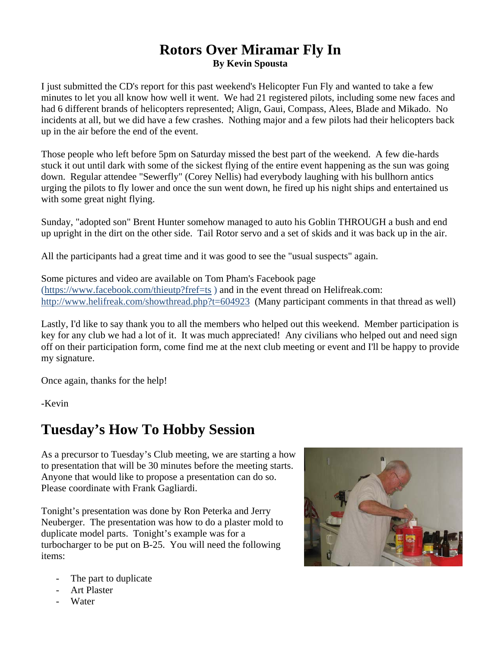## **Rotors Over Miramar Fly In By Kevin Spousta**

I just submitted the CD's report for this past weekend's Helicopter Fun Fly and wanted to take a few minutes to let you all know how well it went. We had 21 registered pilots, including some new faces and had 6 different brands of helicopters represented; Align, Gaui, Compass, Alees, Blade and Mikado. No incidents at all, but we did have a few crashes. Nothing major and a few pilots had their helicopters back up in the air before the end of the event.

Those people who left before 5pm on Saturday missed the best part of the weekend. A few die-hards stuck it out until dark with some of the sickest flying of the entire event happening as the sun was going down. Regular attendee "Sewerfly" (Corey Nellis) had everybody laughing with his bullhorn antics urging the pilots to fly lower and once the sun went down, he fired up his night ships and entertained us with some great night flying.

Sunday, "adopted son" Brent Hunter somehow managed to auto his Goblin THROUGH a bush and end up upright in the dirt on the other side. Tail Rotor servo and a set of skids and it was back up in the air.

All the participants had a great time and it was good to see the "usual suspects" again.

Some pictures and video are available on Tom Pham's Facebook page (https://www.facebook.com/thieutp?fref=ts) and in the event thread on Helifreak.com: http://www.helifreak.com/showthread.php?t=604923 (Many participant comments in that thread as well)

Lastly, I'd like to say thank you to all the members who helped out this weekend. Member participation is key for any club we had a lot of it. It was much appreciated! Any civilians who helped out and need sign off on their participation form, come find me at the next club meeting or event and I'll be happy to provide my signature.

Once again, thanks for the help!

-Kevin

## **Tuesday's How To Hobby Session**

As a precursor to Tuesday's Club meeting, we are starting a how to presentation that will be 30 minutes before the meeting starts. Anyone that would like to propose a presentation can do so. Please coordinate with Frank Gagliardi.

Tonight's presentation was done by Ron Peterka and Jerry Neuberger. The presentation was how to do a plaster mold to duplicate model parts. Tonight's example was for a turbocharger to be put on B-25. You will need the following items:

- The part to duplicate
- Art Plaster
- Water

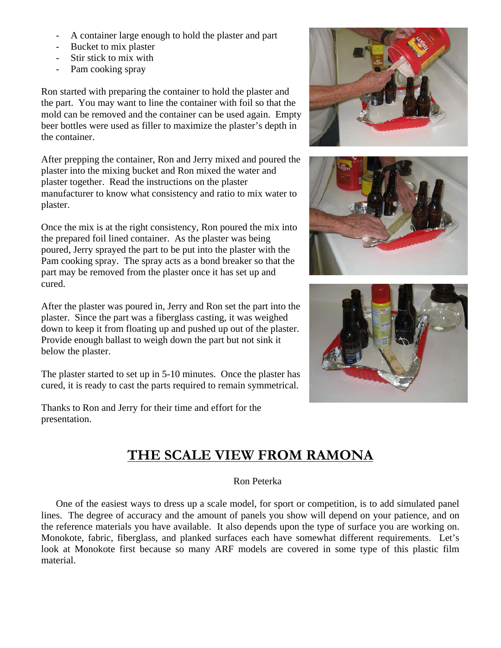- A container large enough to hold the plaster and part
- Bucket to mix plaster
- Stir stick to mix with
- Pam cooking spray

Ron started with preparing the container to hold the plaster and the part. You may want to line the container with foil so that the mold can be removed and the container can be used again. Empty beer bottles were used as filler to maximize the plaster's depth in the container.

After prepping the container, Ron and Jerry mixed and poured the plaster into the mixing bucket and Ron mixed the water and plaster together. Read the instructions on the plaster manufacturer to know what consistency and ratio to mix water to plaster.

Once the mix is at the right consistency, Ron poured the mix into the prepared foil lined container. As the plaster was being poured, Jerry sprayed the part to be put into the plaster with the Pam cooking spray. The spray acts as a bond breaker so that the part may be removed from the plaster once it has set up and cured.

After the plaster was poured in, Jerry and Ron set the part into the plaster. Since the part was a fiberglass casting, it was weighed down to keep it from floating up and pushed up out of the plaster. Provide enough ballast to weigh down the part but not sink it below the plaster.

The plaster started to set up in 5-10 minutes. Once the plaster has cured, it is ready to cast the parts required to remain symmetrical.

Thanks to Ron and Jerry for their time and effort for the presentation.







## **THE SCALE VIEW FROM RAMONA**

#### Ron Peterka

One of the easiest ways to dress up a scale model, for sport or competition, is to add simulated panel lines. The degree of accuracy and the amount of panels you show will depend on your patience, and on the reference materials you have available. It also depends upon the type of surface you are working on. Monokote, fabric, fiberglass, and planked surfaces each have somewhat different requirements. Let's look at Monokote first because so many ARF models are covered in some type of this plastic film material.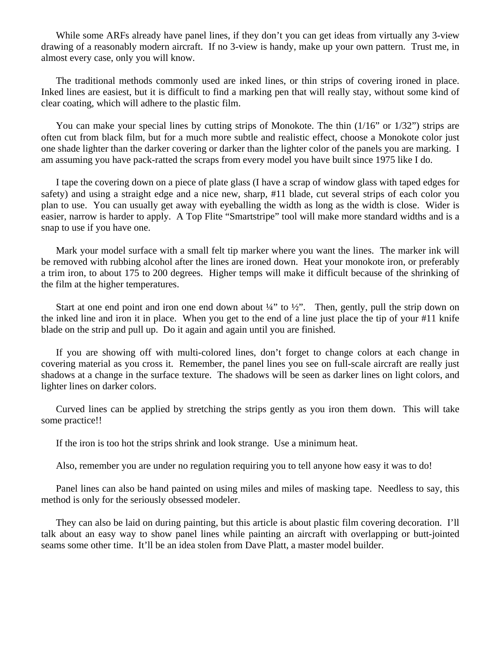While some ARFs already have panel lines, if they don't you can get ideas from virtually any 3-view drawing of a reasonably modern aircraft. If no 3-view is handy, make up your own pattern. Trust me, in almost every case, only you will know.

The traditional methods commonly used are inked lines, or thin strips of covering ironed in place. Inked lines are easiest, but it is difficult to find a marking pen that will really stay, without some kind of clear coating, which will adhere to the plastic film.

You can make your special lines by cutting strips of Monokote. The thin  $(1/16"$  or  $1/32"$ ) strips are often cut from black film, but for a much more subtle and realistic effect, choose a Monokote color just one shade lighter than the darker covering or darker than the lighter color of the panels you are marking. I am assuming you have pack-ratted the scraps from every model you have built since 1975 like I do.

I tape the covering down on a piece of plate glass (I have a scrap of window glass with taped edges for safety) and using a straight edge and a nice new, sharp, #11 blade, cut several strips of each color you plan to use. You can usually get away with eyeballing the width as long as the width is close. Wider is easier, narrow is harder to apply. A Top Flite "Smartstripe" tool will make more standard widths and is a snap to use if you have one.

Mark your model surface with a small felt tip marker where you want the lines. The marker ink will be removed with rubbing alcohol after the lines are ironed down. Heat your monokote iron, or preferably a trim iron, to about 175 to 200 degrees. Higher temps will make it difficult because of the shrinking of the film at the higher temperatures.

Start at one end point and iron one end down about  $\frac{1}{4}$ " to  $\frac{1}{2}$ ". Then, gently, pull the strip down on the inked line and iron it in place. When you get to the end of a line just place the tip of your #11 knife blade on the strip and pull up. Do it again and again until you are finished.

If you are showing off with multi-colored lines, don't forget to change colors at each change in covering material as you cross it. Remember, the panel lines you see on full-scale aircraft are really just shadows at a change in the surface texture. The shadows will be seen as darker lines on light colors, and lighter lines on darker colors.

Curved lines can be applied by stretching the strips gently as you iron them down. This will take some practice!!

If the iron is too hot the strips shrink and look strange. Use a minimum heat.

Also, remember you are under no regulation requiring you to tell anyone how easy it was to do!

Panel lines can also be hand painted on using miles and miles of masking tape. Needless to say, this method is only for the seriously obsessed modeler.

They can also be laid on during painting, but this article is about plastic film covering decoration. I'll talk about an easy way to show panel lines while painting an aircraft with overlapping or butt-jointed seams some other time. It'll be an idea stolen from Dave Platt, a master model builder.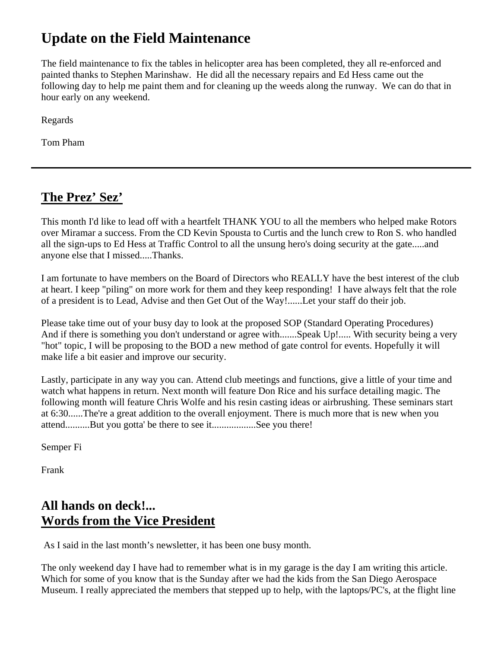## **Update on the Field Maintenance**

The field maintenance to fix the tables in helicopter area has been completed, they all re-enforced and painted thanks to Stephen Marinshaw. He did all the necessary repairs and Ed Hess came out the following day to help me paint them and for cleaning up the weeds along the runway. We can do that in hour early on any weekend.

Regards

Tom Pham

## **The Prez' Sez'**

This month I'd like to lead off with a heartfelt THANK YOU to all the members who helped make Rotors over Miramar a success. From the CD Kevin Spousta to Curtis and the lunch crew to Ron S. who handled all the sign-ups to Ed Hess at Traffic Control to all the unsung hero's doing security at the gate.....and anyone else that I missed.....Thanks.

I am fortunate to have members on the Board of Directors who REALLY have the best interest of the club at heart. I keep "piling" on more work for them and they keep responding! I have always felt that the role of a president is to Lead, Advise and then Get Out of the Way!......Let your staff do their job.

Please take time out of your busy day to look at the proposed SOP (Standard Operating Procedures) And if there is something you don't understand or agree with.......Speak Up!..... With security being a very "hot" topic, I will be proposing to the BOD a new method of gate control for events. Hopefully it will make life a bit easier and improve our security.

Lastly, participate in any way you can. Attend club meetings and functions, give a little of your time and watch what happens in return. Next month will feature Don Rice and his surface detailing magic. The following month will feature Chris Wolfe and his resin casting ideas or airbrushing. These seminars start at 6:30......The're a great addition to the overall enjoyment. There is much more that is new when you attend..........But you gotta' be there to see it..................See you there!

Semper Fi

Frank

## **All hands on deck!... Words from the Vice President**

As I said in the last month's newsletter, it has been one busy month.

The only weekend day I have had to remember what is in my garage is the day I am writing this article. Which for some of you know that is the Sunday after we had the kids from the San Diego Aerospace Museum. I really appreciated the members that stepped up to help, with the laptops/PC's, at the flight line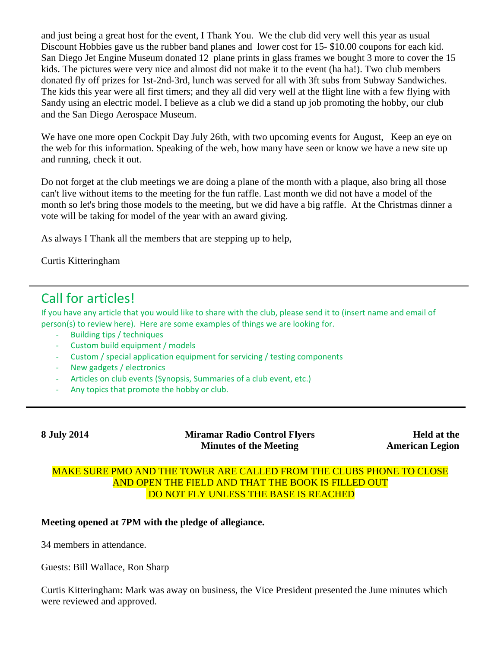and just being a great host for the event, I Thank You. We the club did very well this year as usual Discount Hobbies gave us the rubber band planes and lower cost for 15- \$10.00 coupons for each kid. San Diego Jet Engine Museum donated 12 plane prints in glass frames we bought 3 more to cover the 15 kids. The pictures were very nice and almost did not make it to the event (ha ha!). Two club members donated fly off prizes for 1st-2nd-3rd, lunch was served for all with 3ft subs from Subway Sandwiches. The kids this year were all first timers; and they all did very well at the flight line with a few flying with Sandy using an electric model. I believe as a club we did a stand up job promoting the hobby, our club and the San Diego Aerospace Museum.

We have one more open Cockpit Day July 26th, with two upcoming events for August, Keep an eye on the web for this information. Speaking of the web, how many have seen or know we have a new site up and running, check it out.

Do not forget at the club meetings we are doing a plane of the month with a plaque, also bring all those can't live without items to the meeting for the fun raffle. Last month we did not have a model of the month so let's bring those models to the meeting, but we did have a big raffle. At the Christmas dinner a vote will be taking for model of the year with an award giving.

As always I Thank all the members that are stepping up to help,

Curtis Kitteringham

## Call for articles!

If you have any article that you would like to share with the club, please send it to (insert name and email of person(s) to review here). Here are some examples of things we are looking for.

- ‐ Building tips / techniques
- ‐ Custom build equipment / models
- ‐ Custom / special application equipment for servicing / testing components
- ‐ New gadgets / electronics
- ‐ Articles on club events (Synopsis, Summaries of a club event, etc.)
- Any topics that promote the hobby or club.

**8 July 2014 Miramar Radio Control Flyers Minutes of the Meeting** 

**Held at the American Legion**

MAKE SURE PMO AND THE TOWER ARE CALLED FROM THE CLUBS PHONE TO CLOSE AND OPEN THE FIELD AND THAT THE BOOK IS FILLED OUT DO NOT FLY UNLESS THE BASE IS REACHED

#### **Meeting opened at 7PM with the pledge of allegiance.**

34 members in attendance.

Guests: Bill Wallace, Ron Sharp

Curtis Kitteringham: Mark was away on business, the Vice President presented the June minutes which were reviewed and approved.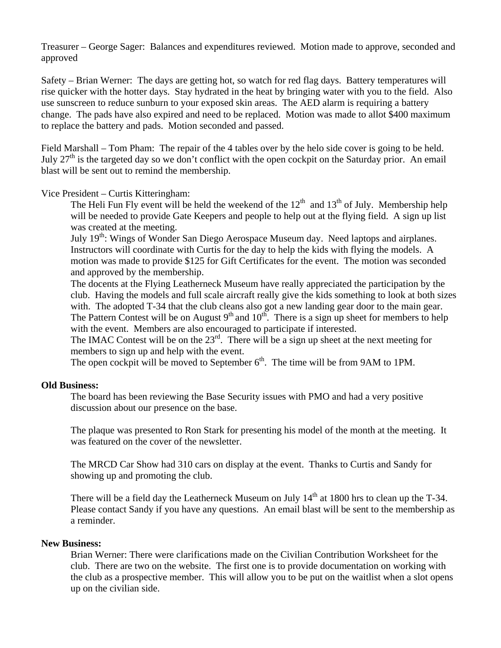Treasurer – George Sager: Balances and expenditures reviewed. Motion made to approve, seconded and approved

Safety – Brian Werner: The days are getting hot, so watch for red flag days. Battery temperatures will rise quicker with the hotter days. Stay hydrated in the heat by bringing water with you to the field. Also use sunscreen to reduce sunburn to your exposed skin areas. The AED alarm is requiring a battery change. The pads have also expired and need to be replaced. Motion was made to allot \$400 maximum to replace the battery and pads. Motion seconded and passed.

Field Marshall – Tom Pham: The repair of the 4 tables over by the helo side cover is going to be held. July  $27<sup>th</sup>$  is the targeted day so we don't conflict with the open cockpit on the Saturday prior. An email blast will be sent out to remind the membership.

Vice President – Curtis Kitteringham:

The Heli Fun Fly event will be held the weekend of the  $12<sup>th</sup>$  and  $13<sup>th</sup>$  of July. Membership help will be needed to provide Gate Keepers and people to help out at the flying field. A sign up list was created at the meeting.

July 19<sup>th</sup>: Wings of Wonder San Diego Aerospace Museum day. Need laptops and airplanes. Instructors will coordinate with Curtis for the day to help the kids with flying the models. A motion was made to provide \$125 for Gift Certificates for the event. The motion was seconded and approved by the membership.

The docents at the Flying Leatherneck Museum have really appreciated the participation by the club. Having the models and full scale aircraft really give the kids something to look at both sizes with. The adopted T-34 that the club cleans also got a new landing gear door to the main gear. The Pattern Contest will be on August  $9<sup>th</sup>$  and  $10<sup>th</sup>$ . There is a sign up sheet for members to help with the event. Members are also encouraged to participate if interested.

The IMAC Contest will be on the  $23<sup>rd</sup>$ . There will be a sign up sheet at the next meeting for members to sign up and help with the event.

The open cockpit will be moved to September  $6<sup>th</sup>$ . The time will be from 9AM to 1PM.

#### **Old Business:**

The board has been reviewing the Base Security issues with PMO and had a very positive discussion about our presence on the base.

The plaque was presented to Ron Stark for presenting his model of the month at the meeting. It was featured on the cover of the newsletter.

The MRCD Car Show had 310 cars on display at the event. Thanks to Curtis and Sandy for showing up and promoting the club.

There will be a field day the Leatherneck Museum on July  $14<sup>th</sup>$  at 1800 hrs to clean up the T-34. Please contact Sandy if you have any questions. An email blast will be sent to the membership as a reminder.

#### **New Business:**

Brian Werner: There were clarifications made on the Civilian Contribution Worksheet for the club. There are two on the website. The first one is to provide documentation on working with the club as a prospective member. This will allow you to be put on the waitlist when a slot opens up on the civilian side.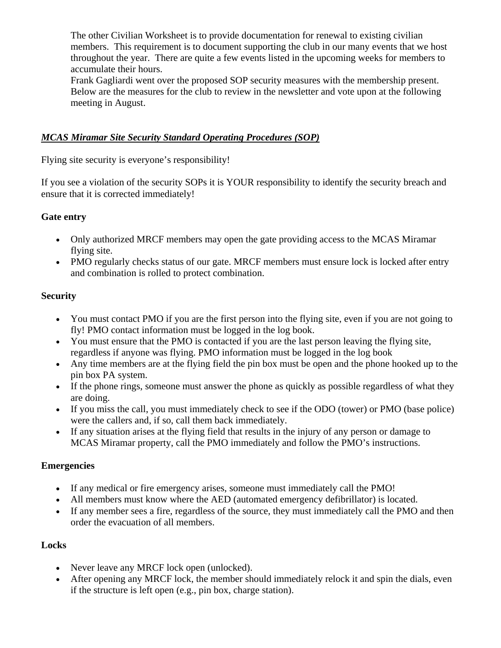The other Civilian Worksheet is to provide documentation for renewal to existing civilian members. This requirement is to document supporting the club in our many events that we host throughout the year. There are quite a few events listed in the upcoming weeks for members to accumulate their hours.

Frank Gagliardi went over the proposed SOP security measures with the membership present. Below are the measures for the club to review in the newsletter and vote upon at the following meeting in August.

#### *MCAS Miramar Site Security Standard Operating Procedures (SOP)*

Flying site security is everyone's responsibility!

If you see a violation of the security SOPs it is YOUR responsibility to identify the security breach and ensure that it is corrected immediately!

#### **Gate entry**

- Only authorized MRCF members may open the gate providing access to the MCAS Miramar flying site.
- PMO regularly checks status of our gate. MRCF members must ensure lock is locked after entry and combination is rolled to protect combination.

#### **Security**

- You must contact PMO if you are the first person into the flying site, even if you are not going to fly! PMO contact information must be logged in the log book.
- You must ensure that the PMO is contacted if you are the last person leaving the flying site, regardless if anyone was flying. PMO information must be logged in the log book
- Any time members are at the flying field the pin box must be open and the phone hooked up to the pin box PA system.
- If the phone rings, someone must answer the phone as quickly as possible regardless of what they are doing.
- If you miss the call, you must immediately check to see if the ODO (tower) or PMO (base police) were the callers and, if so, call them back immediately.
- If any situation arises at the flying field that results in the injury of any person or damage to MCAS Miramar property, call the PMO immediately and follow the PMO's instructions.

#### **Emergencies**

- If any medical or fire emergency arises, someone must immediately call the PMO!
- All members must know where the AED (automated emergency defibrillator) is located.
- If any member sees a fire, regardless of the source, they must immediately call the PMO and then order the evacuation of all members.

#### **Locks**

- Never leave any MRCF lock open (unlocked).
- After opening any MRCF lock, the member should immediately relock it and spin the dials, even if the structure is left open (e.g., pin box, charge station).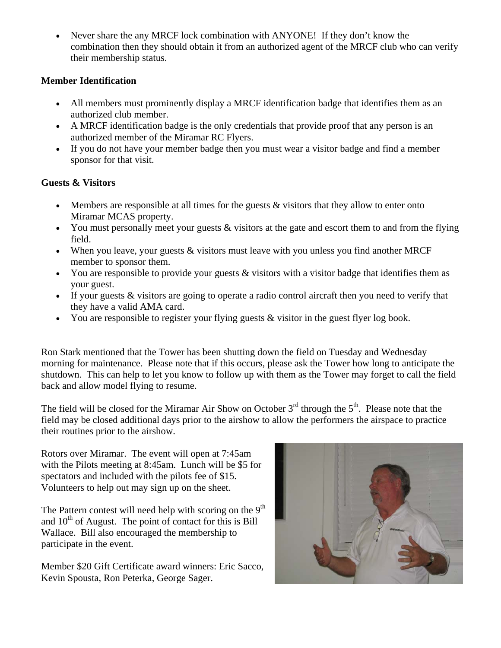• Never share the any MRCF lock combination with ANYONE! If they don't know the combination then they should obtain it from an authorized agent of the MRCF club who can verify their membership status.

#### **Member Identification**

- All members must prominently display a MRCF identification badge that identifies them as an authorized club member.
- A MRCF identification badge is the only credentials that provide proof that any person is an authorized member of the Miramar RC Flyers.
- If you do not have your member badge then you must wear a visitor badge and find a member sponsor for that visit.

#### **Guests & Visitors**

- Members are responsible at all times for the guests  $\&$  visitors that they allow to enter onto Miramar MCAS property.
- You must personally meet your guests & visitors at the gate and escort them to and from the flying field.
- When you leave, your guests & visitors must leave with you unless you find another MRCF member to sponsor them.
- You are responsible to provide your guests & visitors with a visitor badge that identifies them as your guest.
- If your guests & visitors are going to operate a radio control aircraft then you need to verify that they have a valid AMA card.
- You are responsible to register your flying guests & visitor in the guest flyer log book.

Ron Stark mentioned that the Tower has been shutting down the field on Tuesday and Wednesday morning for maintenance. Please note that if this occurs, please ask the Tower how long to anticipate the shutdown. This can help to let you know to follow up with them as the Tower may forget to call the field back and allow model flying to resume.

The field will be closed for the Miramar Air Show on October  $3<sup>rd</sup>$  through the  $5<sup>th</sup>$ . Please note that the field may be closed additional days prior to the airshow to allow the performers the airspace to practice their routines prior to the airshow.

Rotors over Miramar. The event will open at 7:45am with the Pilots meeting at 8:45am. Lunch will be \$5 for spectators and included with the pilots fee of \$15. Volunteers to help out may sign up on the sheet.

The Pattern contest will need help with scoring on the  $9<sup>th</sup>$ and  $10^{th}$  of August. The point of contact for this is Bill Wallace. Bill also encouraged the membership to participate in the event.

Member \$20 Gift Certificate award winners: Eric Sacco, Kevin Spousta, Ron Peterka, George Sager.